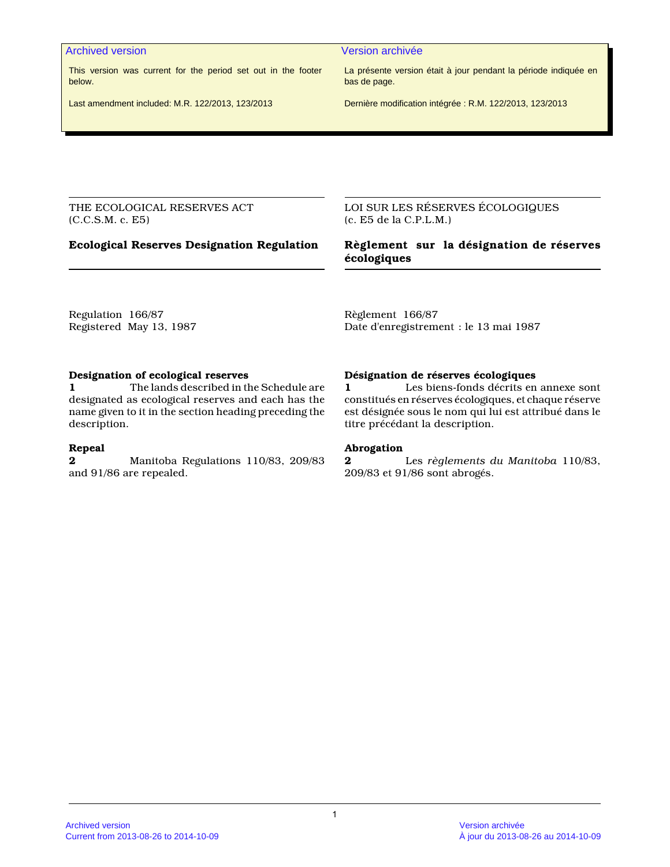This version was current for the period set out in the footer below.

Last amendment included: M.R. 122/2013, 123/2013

Archived version and version archivée and version archivée

La présente version était à jour pendant la période indiquée en bas de page.

Dernière modification intégrée : R.M. 122/2013, 123/2013

THE ECOLOGICAL RESERVES ACT (C.C.S.M. c. E5)

LOI SUR LES RÉSERVES ÉCOLOGIQUES (c. E5 de la C.P.L.M.)

# **Ecological Reserves Designation Regulation Règlement sur la désignation de réserves écologiques**

Regulation 166/87 Registered May 13, 1987 Règlement 166/87 Date d'enregistrement : le 13 mai 1987

# **Designation of ecological reserves**

**1** The lands described in the Schedule are designated as ecological reserves and each has the name given to it in the section heading preceding the description.

# **Repeal**

**2** Manitoba Regulations 110/83, 209/83 and 91/86 are repealed.

# **Désignation de réserves écologiques**

**1** Les biens-fonds décrits en annexe sont constitués en réserves écologiques, et chaque réserve est désignée sous le nom qui lui est attribué dans le titre précédant la description.

# **Abrogation**

**2** Les *règlements du Manitoba* 110/83, 209/83 et 91/86 sont abrogés.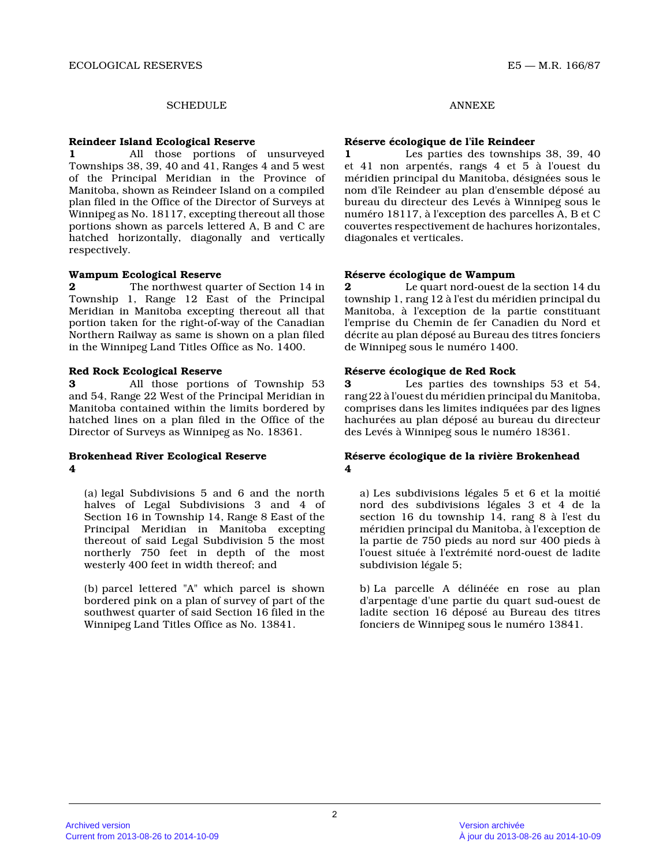# SCHEDULE ANNEXE

#### **Reindeer Island Ecological Reserve**

**1** All those portions of unsurveyed Townships 38, 39, 40 and 41, Ranges 4 and 5 west of the Principal Meridian in the Province of Manitoba, shown as Reindeer Island on a compiled plan filed in the Office of the Director of Surveys at Winnipeg as No. 18117, excepting thereout all those portions shown as parcels lettered A, B and C are hatched horizontally, diagonally and vertically respectively.

# **Wampum Ecological Reserve**

**2** The northwest quarter of Section 14 in Township 1, Range 12 East of the Principal Meridian in Manitoba excepting thereout all that portion taken for the right-of-way of the Canadian Northern Railway as same is shown on a plan filed in the Winnipeg Land Titles Office as No. 1400.

# **Red Rock Ecological Reserve**

**3** All those portions of Township 53 and 54, Range 22 West of the Principal Meridian in Manitoba contained within the limits bordered by hatched lines on a plan filed in the Office of the Director of Surveys as Winnipeg as No. 18361.

# **Brokenhead River Ecological Reserve 4**

(a) legal Subdivisions 5 and 6 and the north halves of Legal Subdivisions 3 and 4 of Section 16 in Township 14, Range 8 East of the Principal Meridian in Manitoba excepting thereout of said Legal Subdivision 5 the most northerly 750 feet in depth of the most westerly 400 feet in width thereof; and

(b) parcel lettered "A" which parcel is shown bordered pink on a plan of survey of part of the southwest quarter of said Section 16 filed in the Winnipeg Land Titles Office as No. 13841.

# **Réserve écologique de l'île Reindeer**

**1** Les parties des townships 38, 39, 40 et 41 non arpentés, rangs 4 et 5 à l'ouest du méridien principal du Manitoba, désignées sous le nom d'île Reindeer au plan d'ensemble déposé au bureau du directeur des Levés à Winnipeg sous le numéro 18117, à l'exception des parcelles A, B et C couvertes respectivement de hachures horizontales, diagonales et verticales.

# **Réserve écologique de Wampum**

**2** Le quart nord-ouest de la section 14 du township 1, rang 12 à l'est du méridien principal d u Manitoba, à l'exception de la partie constituant l'emprise du Chemin de fer Canadien du Nord et décrite au plan déposé au Bureau des titres foncier s de Winnipeg sous le numéro 1400.

#### **Réserve écologique de Red Rock**

**3** Les parties des townships 53 et 54, rang 22 à l'ouest du méridien principal du Manitoba , comprises dans les limites indiquées par des lignes hachurées au plan déposé au bureau du directeur des Levés à Winnipeg sous le numéro 18361.

# **Réserve écologique de la rivière Brokenhead 4**

a) Les subdivisions légales 5 et 6 et la moitié nord des subdivisions légales 3 et 4 de la section 16 du township 14, rang 8 à l'est du méridien principal du Manitoba, à l'exception de la partie de 750 pieds au nord sur 400 pieds à l'ouest située à l'extrémité nord-ouest de ladite subdivision légale 5;

b) La parcelle A délinéée en rose au plan d'arpentage d'une partie du quart sud-ouest de ladite section 16 déposé au Bureau des titres fonciers de Winnipeg sous le numéro 13841.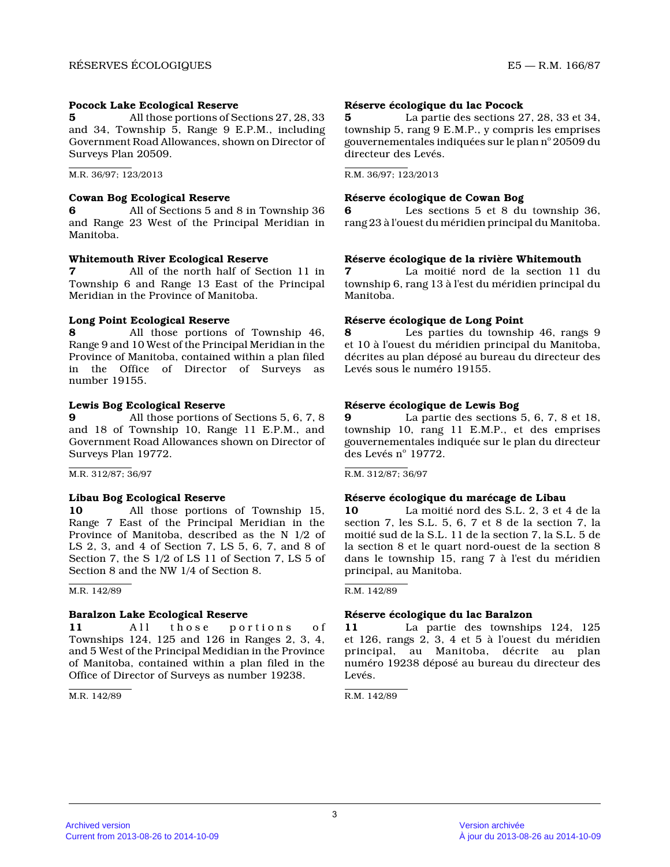# **Pocock Lake Ecological Reserve**

**5** All those portions of Sections 27, 28, 33 and 34, Township 5, Range 9 E.P.M., including Government Road Allowances, shown on Director of Surveys Plan 20509.

M.R. 36/97; 123/2013

# **Cowan Bog Ecological Reserve**

**6** All of Sections 5 and 8 in Township 36 and Range 23 West of the Principal Meridian in Manitoba.

# **Whitemouth River Ecological Reserve**

**7** All of the north half of Section 11 in Township 6 and Range 13 East of the Principal Meridian in the Province of Manitoba.

# **Long Point Ecological Reserve**

**8** All those portions of Township 46, Range 9 and 10 West of the Principal Meridian in th e Province of Manitoba, contained within a plan filed in the Office of Director of Surveys as number 19155.

# **Lewis Bog Ecological Reserve**

**9** All those portions of Sections 5, 6, 7, 8 and 18 of Township 10, Range 11 E.P.M., and Government Road Allowances shown on Director of Surveys Plan 19772.

M.R. 312/87; 36/97

# **Libau Bog Ecological Reserve**

**10** All those portions of Township 15, Range 7 East of the Principal Meridian in the Province of Manitoba, described as the N 1/2 of LS 2, 3, and 4 of Section 7, LS 5, 6, 7, and 8 of Section 7, the S 1/2 of LS 11 of Section 7, LS 5 of Section 8 and the NW 1/4 of Section 8.

M.R. 142/89

# **Baralzon Lake Ecological Reserve**

11 All those portions of Townships 124, 125 and 126 in Ranges 2, 3, 4, and 5 West of the Principal Medidian in the Provinc e of Manitoba, contained within a plan filed in the Office of Director of Surveys as number 19238.

M.R. 142/89

# **Réserve écologique du lac Pocock**

**5** La partie des sections 27, 28, 33 et 34, township 5, rang 9 E.M.P., y compris les emprises gouvernementales indiquées sur le plan n° 20509 du directeur des Levés.

R.M. 36/97; 123/2013

# **Réserve écologique de Cowan Bog**

**6** Les sections 5 et 8 du township 36, rang 23 à l'ouest du méridien principal du Manitoba .

# **Réserve écologique de la rivière Whitemouth**

**7** La moitié nord de la section 11 du township 6, rang 13 à l'est du méridien principal d u Manitoba.

# **Réserve écologique de Long Point**

**8** Les parties du township 46, rangs 9 et 10 à l'ouest du méridien principal du Manitoba, décrites au plan déposé au bureau du directeur des Levés sous le numéro 19155.

# **Réserve écologique de Lewis Bog**

**9** La partie des sections 5, 6, 7, 8 et 18, township 10, rang 11 E.M.P., et des emprises gouvernementales indiquée sur le plan du directeur des Levés nº 19772.

 $R.M. 312/87: 36/97$ 

# **Réserve écologique du marécage de Libau**

**10** La moitié nord des S.L. 2, 3 et 4 de la section 7, les S.L. 5, 6, 7 et 8 de la section 7, l a moitié sud de la S.L. 11 de la section 7, la S.L. 5 de la section 8 et le quart nord-ouest de la section 8 dans le township 15, rang 7 à l'est du méridien principal, au Manitoba.

R.M. 142/89

# **Réserve écologique du lac Baralzon**

**11** La partie des townships 124, 125 et 126, rangs 2, 3, 4 et 5 à l'ouest du méridien principal, au Manitoba, décrite au plan numéro 19238 déposé au bureau du directeur des Levés.

R.M. 142/89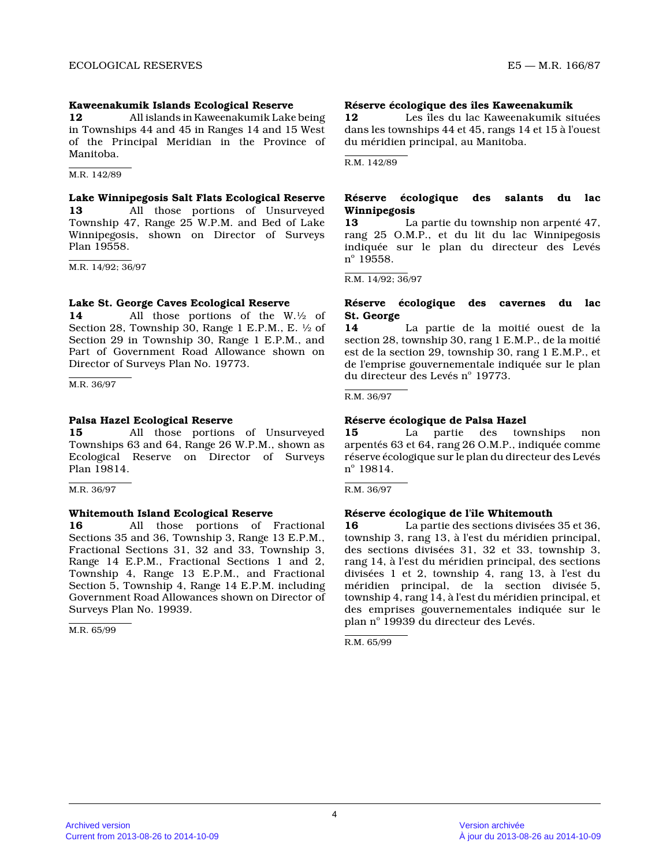# **Kaweenakumik Islands Ecological Reserve**

**12** All islands in Kaweenakumik Lake being in Townships 44 and 45 in Ranges 14 and 15 West of the Principal Meridian in the Province of Manitoba.

M.R. 142/89

# **Lake Winnipegosis Salt Flats Ecological Reserve**

**13** All those portions of Unsurveyed Township 47, Range 25 W.P.M. and Bed of Lake Winnipegosis, shown on Director of Surveys Plan 19558.

M.R. 14/92; 36/97

# **Lake St. George Caves Ecological Reserve**

**14** All those portions of the W.½ of Section 28, Township 30, Range 1 E.P.M., E. ½ of Section 29 in Township 30, Range 1 E.P.M., and Part of Government Road Allowance shown on Director of Surveys Plan No. 19773.

M.R. 36/97

# **Palsa Hazel Ecological Reserve**

**15** All those portions of Unsurveyed Townships 63 and 64, Range 26 W.P.M., shown as Ecological Reserve on Director of Surveys Plan 19814.

M.R. 36/97

# **Whitemouth Island Ecological Reserve**

**16** All those portions of Fractional Sections 35 and 36, Township 3, Range 13 E.P.M., Fractional Sections 31, 32 and 33, Township 3, Range 14 E.P.M., Fractional Sections 1 and 2, Township 4, Range 13 E.P.M., and Fractional Section 5, Township 4, Range 14 E.P.M. including Government Road Allowances shown on Director of Surveys Plan No. 19939.

M.R. 65/99

# **Réserve écologique des îles Kaweenakumik**

**12** Les îles du lac Kaweenakumik situées dans les townships 44 et 45, rangs 14 et 15 à l'ouest du méridien principal, au Manitoba.

R.M. 142/89

# **Réserve écologique des salants du lac Winnipegosis**

**13** La partie du township non arpenté 47, rang 25 O.M.P., et du lit du lac Winnipegosis indiquée sur le plan du directeur des Levés n<sup>o</sup> 19558.

 $R.M. 14/92: 36/97$ 

# **Réserve écologique des cavernes du lac St. George**

**14** La partie de la moitié ouest de la section 28, township 30, rang 1 E.M.P., de la moiti é est de la section 29, township 30, rang 1 E.M.P., e t de l'emprise gouvernementale indiquée sur le plan du directeur des Levés nº 19773.

R.M. 36/97

# **Réserve écologique de Palsa Hazel**

**15** La partie des townships non arpentés 63 et 64, rang 26 O.M.P., indiquée comme réserve écologique sur le plan du directeur des Levés n<sup>o</sup> 19814.

R.M. 36/97

# **Réserve écologique de l'île Whitemouth**

**16** La partie des sections divisées 35 et 36, township 3, rang 13, à l'est du méridien principal, des sections divisées 31, 32 et 33, township 3, rang 14, à l'est du méridien principal, des section s divisées 1 et 2, township 4, rang 13, à l'est du méridien principal, de la section divisée 5, township 4, rang 14, à l'est du méridien principal, et des emprises gouvernementales indiquée sur le plan nº 19939 du directeur des Levés.

R.M. 65/99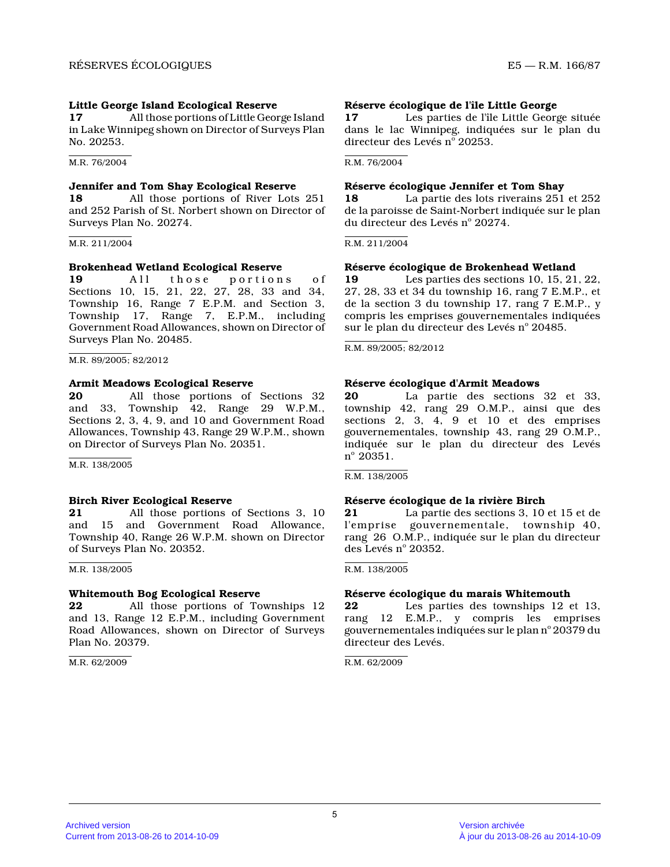# **Little George Island Ecological Reserve**

**17** All those portions of Little George Island in Lake Winnipeg shown on Director of Surveys Plan No. 20253.

M.R. 76/2004

# **Jennifer and Tom Shay Ecological Reserve**

**18** All those portions of River Lots 251 and 252 Parish of St. Norbert shown on Director of Surveys Plan No. 20274.

M.R. 211/2004

# **Brokenhead Wetland Ecological Reserve**

**19** All those portions of Sections 10, 15, 21, 22, 27, 28, 33 and 34, Township 16, Range 7 E.P.M. and Section 3, Township 17, Range 7, E.P.M., including Government Road Allowances, shown on Director of Surveys Plan No. 20485.

M.R. 89/2005; 82/2012

# **Armit Meadows Ecological Reserve**

**20** All those portions of Sections 32 and 33, Township 42, Range 29 W.P.M., Sections 2, 3, 4, 9, and 10 and Government Road Allowances, Township 43, Range 29 W.P.M., shown on Director of Surveys Plan No. 20351.

M.R. 138/2005

# **Birch River Ecological Reserve**<br>**21** All those portions of

**21** All those portions of Sections 3, 10 and 15 and Government Road Allowance, Township 40, Range 26 W.P.M. shown on Director of Surveys Plan No. 20352.

M.R. 138/2005

# **Whitemouth Bog Ecological Reserve**

**22** All those portions of Townships 12 and 13, Range 12 E.P.M., including Government Road Allowances, shown on Director of Surveys Plan No. 20379.

M.R. 62/2009

# **Réserve écologique de l'île Little George**

**17** Les parties de l'île Little George située dans le lac Winnipeg, indiquées sur le plan du directeur des Levés n° 20253.

R.M. 76/2004

# **Réserve écologique Jennifer et Tom Shay**

**18** La partie des lots riverains 251 et 252 de la paroisse de Saint-Norbert indiquée sur le pla n du directeur des Levés nº 20274.

R.M. 211/2004

# **Réserve écologique de Brokenhead Wetland**

**19** Les parties des sections 10, 15, 21, 22, 27, 28, 33 et 34 du township 16, rang 7 E.M.P., et de la section 3 du township 17, rang 7 E.M.P., y compris les emprises gouvernementales indiquées sur le plan du directeur des Levés nº 20485.

R.M. 89/2005; 82/2012

# **Réserve écologique d'Armit Meadows**

**20** La partie des sections 32 et 33, township 42, rang 29 O.M.P., ainsi que des sections 2, 3, 4, 9 et 10 et des emprises gouvernementales, township43, rang 29 O.M.P., indiquée sur le plan du directeur des Levés  $n^{\circ}$  20351.

R.M. 138/2005

# **Réserve écologique de la rivière Birch**

**21** La partie des sections 3, 10 et 15 et de l'emprise gouvernementale, township40, rang<sup>26</sup> O.M.P., indiquée sur le plan du directeur des Levés nº 20352.

R.M. 138/2005

# **Réserve écologique du marais Whitemouth**<br>**22** Les parties des townships 12 expansion

Les parties des townships 12 et 13, rang 12 E.M.P., y compris les emprises gouvernementales indiquées sur le plan n° 20379 du directeur des Levés.

R.M. 62/2009